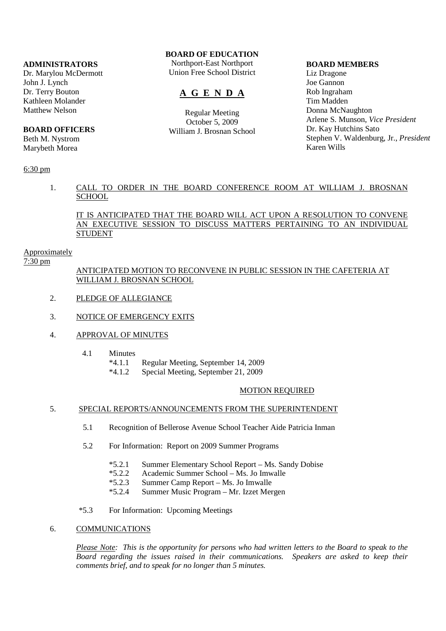#### **ADMINISTRATORS**

Dr. Marylou McDermott John J. Lynch Dr. Terry Bouton Kathleen Molander Matthew Nelson

# **BOARD OFFICERS**

Beth M. Nystrom Marybeth Morea

## 6:30 pm

# **BOARD OF EDUCATION**

Northport-East Northport Union Free School District

# **A G E N D A**

Regular Meeting October 5, 2009 William J. Brosnan School

#### **BOARD MEMBERS**

Liz Dragone Joe Gannon Rob Ingraham Tim Madden Donna McNaughton Arlene S. Munson, *Vice President* Dr. Kay Hutchins Sato Stephen V. Waldenburg, Jr., *President* Karen Wills

# 1. CALL TO ORDER IN THE BOARD CONFERENCE ROOM AT WILLIAM J. BROSNAN **SCHOOL**

IT IS ANTICIPATED THAT THE BOARD WILL ACT UPON A RESOLUTION TO CONVENE AN EXECUTIVE SESSION TO DISCUSS MATTERS PERTAINING TO AN INDIVIDUAL STUDENT

#### Approximately

7:30 pm

# ANTICIPATED MOTION TO RECONVENE IN PUBLIC SESSION IN THE CAFETERIA AT WILLIAM J. BROSNAN SCHOOL

- 2. PLEDGE OF ALLEGIANCE
- 3. NOTICE OF EMERGENCY EXITS
- 4. APPROVAL OF MINUTES
	- 4.1 Minutes
		- \*4.1.1 Regular Meeting, September 14, 2009
			- \*4.1.2 Special Meeting, September 21, 2009

#### MOTION REQUIRED

## 5. SPECIAL REPORTS/ANNOUNCEMENTS FROM THE SUPERINTENDENT

- 5.1 Recognition of Bellerose Avenue School Teacher Aide Patricia Inman
- 5.2 For Information: Report on 2009 Summer Programs
	- \*5.2.1 Summer Elementary School Report Ms. Sandy Dobise
	- \*5.2.2 Academic Summer School Ms. Jo Imwalle
	- \*5.2.3 Summer Camp Report Ms. Jo Imwalle
	- Summer Music Program Mr. Izzet Mergen
- \*5.3 For Information: Upcoming Meetings

# 6. COMMUNICATIONS

*Please Note: This is the opportunity for persons who had written letters to the Board to speak to the Board regarding the issues raised in their communications. Speakers are asked to keep their comments brief, and to speak for no longer than 5 minutes.*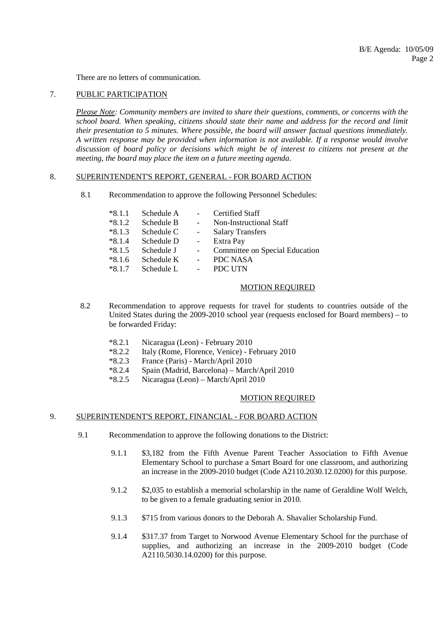There are no letters of communication.

#### 7. PUBLIC PARTICIPATION

*Please Note: Community members are invited to share their questions, comments, or concerns with the school board. When speaking, citizens should state their name and address for the record and limit their presentation to 5 minutes. Where possible, the board will answer factual questions immediately. A written response may be provided when information is not available. If a response would involve discussion of board policy or decisions which might be of interest to citizens not present at the meeting, the board may place the item on a future meeting agenda*.

#### 8. SUPERINTENDENT'S REPORT, GENERAL - FOR BOARD ACTION

8.1 Recommendation to approve the following Personnel Schedules:

| $*8.1.1$ | Schedule A |                          | Certified Staff                |
|----------|------------|--------------------------|--------------------------------|
| $*8.1.2$ | Schedule B | $\sim$                   | Non-Instructional Staff        |
| $*8.1.3$ | Schedule C | $\sim 10^{-1}$           | <b>Salary Transfers</b>        |
| $*8.1.4$ | Schedule D | $\overline{\phantom{a}}$ | Extra Pay                      |
| $*8.1.5$ | Schedule J |                          | Committee on Special Education |
| $*8.1.6$ | Schedule K | $\overline{\phantom{a}}$ | PDC NASA                       |
| $*8.1.7$ | Schedule L | $\blacksquare$           | PDC UTN                        |

#### MOTION REQUIRED

- 8.2 Recommendation to approve requests for travel for students to countries outside of the United States during the 2009-2010 school year (requests enclosed for Board members) – to be forwarded Friday:
	- \*8.2.1 Nicaragua (Leon) February 2010
	- \*8.2.2 Italy (Rome, Florence, Venice) February 2010
	- \*8.2.3 France (Paris) March/April 2010
	- \*8.2.4 Spain (Madrid, Barcelona) March/April 2010
	- \*8.2.5 Nicaragua (Leon) March/April 2010

## MOTION REQUIRED

# 9. SUPERINTENDENT'S REPORT, FINANCIAL - FOR BOARD ACTION

- 9.1 Recommendation to approve the following donations to the District:
	- 9.1.1 \$3,182 from the Fifth Avenue Parent Teacher Association to Fifth Avenue Elementary School to purchase a Smart Board for one classroom, and authorizing an increase in the 2009-2010 budget (Code A2110.2030.12.0200) for this purpose.
	- 9.1.2 \$2,035 to establish a memorial scholarship in the name of Geraldine Wolf Welch, to be given to a female graduating senior in 2010.
	- 9.1.3 \$715 from various donors to the Deborah A. Shavalier Scholarship Fund.
	- 9.1.4 \$317.37 from Target to Norwood Avenue Elementary School for the purchase of supplies, and authorizing an increase in the 2009-2010 budget (Code A2110.5030.14.0200) for this purpose.